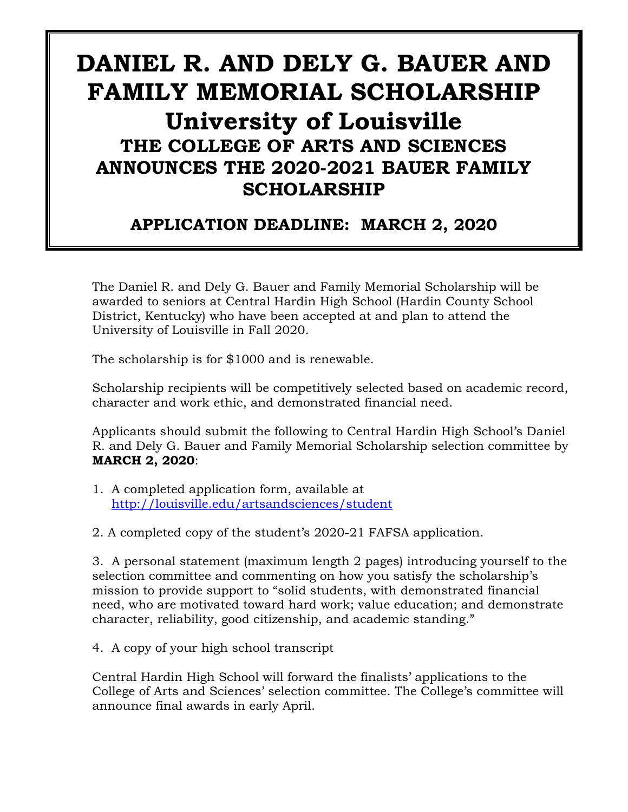## **DANIEL R. AND DELY G. BAUER AND FAMILY MEMORIAL SCHOLARSHIP University of Louisville THE COLLEGE OF ARTS AND SCIENCES ANNOUNCES THE 2020-2021 BAUER FAMILY SCHOLARSHIP**

## **APPLICATION DEADLINE: MARCH 2, 2020**

The Daniel R. and Dely G. Bauer and Family Memorial Scholarship will be awarded to seniors at Central Hardin High School (Hardin County School District, Kentucky) who have been accepted at and plan to attend the University of Louisville in Fall 2020.

The scholarship is for \$1000 and is renewable.

Scholarship recipients will be competitively selected based on academic record, character and work ethic, and demonstrated financial need.

Applicants should submit the following to Central Hardin High School's Daniel R. and Dely G. Bauer and Family Memorial Scholarship selection committee by **MARCH 2, 2020**:

- 1. A completed application form, available at <http://louisville.edu/artsandsciences/student>
- 2. A completed copy of the student's 2020-21 FAFSA application.

3. A personal statement (maximum length 2 pages) introducing yourself to the selection committee and commenting on how you satisfy the scholarship's mission to provide support to "solid students, with demonstrated financial need, who are motivated toward hard work; value education; and demonstrate character, reliability, good citizenship, and academic standing."

4. A copy of your high school transcript

Central Hardin High School will forward the finalists' applications to the College of Arts and Sciences' selection committee. The College's committee will announce final awards in early April.